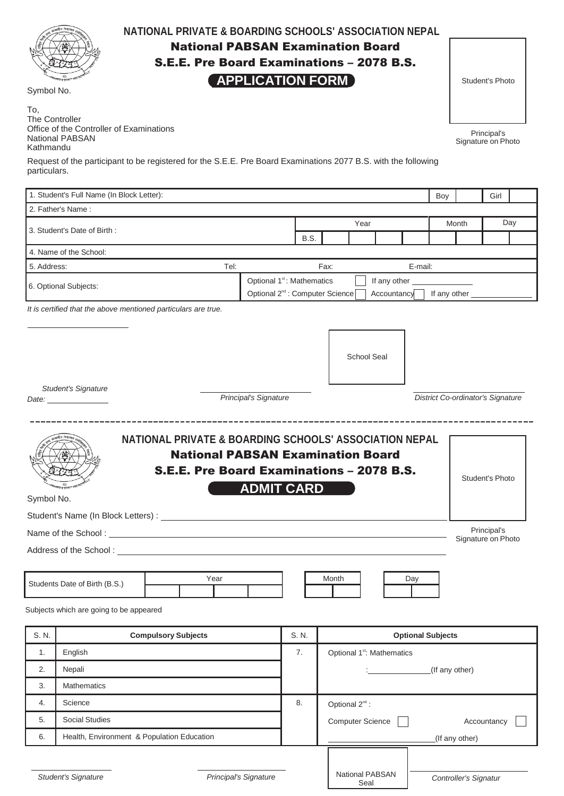| iliya.<br>M<br>ING SOMOOLS<br>RD<br>र ढ हटम |
|---------------------------------------------|
|---------------------------------------------|

### **NATIONAL PRIVATE & BOARDING SCHOOLS' ASSOCIATION NEPAL**

National PABSAN Examination Board

S.E.E. Pre Board Examinations – 2078 B.S.

### **APPLICATION FORM**

Student's Photo

To, The Controller Office of the Controller of Examinations National PABSAN

Kathmandu

Symbol No.

Request of the participant to be registered for the S.E.E. Pre Board Examinations 2077 B.S. with the following particulars.

|                                                                                                                          | 1. Student's Full Name (In Block Letter):                      |                            |                                                                                                         |       |                                        |                                 |                          | Boy                                      |                       | Girl                                                        |  |
|--------------------------------------------------------------------------------------------------------------------------|----------------------------------------------------------------|----------------------------|---------------------------------------------------------------------------------------------------------|-------|----------------------------------------|---------------------------------|--------------------------|------------------------------------------|-----------------------|-------------------------------------------------------------|--|
|                                                                                                                          | 2. Father's Name:                                              |                            |                                                                                                         |       |                                        |                                 |                          |                                          |                       |                                                             |  |
| 3. Student's Date of Birth:                                                                                              |                                                                |                            |                                                                                                         | Year  |                                        |                                 |                          | Month                                    |                       | Day                                                         |  |
|                                                                                                                          |                                                                |                            |                                                                                                         | B.S.  |                                        |                                 |                          |                                          |                       |                                                             |  |
|                                                                                                                          | 4. Name of the School:                                         |                            |                                                                                                         |       |                                        |                                 |                          |                                          |                       |                                                             |  |
| 5. Address:                                                                                                              |                                                                | Tel:                       |                                                                                                         |       | Fax:                                   |                                 | E-mail:                  |                                          |                       |                                                             |  |
| 6. Optional Subjects:                                                                                                    |                                                                |                            | Optional 1 <sup>st</sup> : Mathematics<br>If any other _<br>Optional 2 <sup>nd</sup> : Computer Science |       |                                        |                                 |                          |                                          |                       |                                                             |  |
|                                                                                                                          | It is certified that the above mentioned particulars are true. |                            |                                                                                                         |       |                                        |                                 | Accountancy              | If any other                             |                       |                                                             |  |
|                                                                                                                          | <b>Student's Signature</b><br>Date: _________________          |                            | Principal's Signature                                                                                   |       |                                        | <b>School Seal</b>              |                          | <b>District Co-ordinator's Signature</b> |                       |                                                             |  |
| <b>National PABSAN Examination Board</b><br>S.E.E. Pre Board Examinations - 2078 B.S.<br><b>ADMIT CARD</b><br>Symbol No. |                                                                |                            |                                                                                                         |       |                                        |                                 |                          |                                          |                       | <b>Student's Photo</b><br>Principal's<br>Signature on Photo |  |
|                                                                                                                          | Students Date of Birth (B.S.)                                  | Year                       |                                                                                                         |       | Month                                  |                                 | Day                      |                                          |                       |                                                             |  |
|                                                                                                                          | Subjects which are going to be appeared                        |                            |                                                                                                         |       |                                        |                                 |                          |                                          |                       |                                                             |  |
| S. N.                                                                                                                    |                                                                | <b>Compulsory Subjects</b> |                                                                                                         | S. N. |                                        |                                 | <b>Optional Subjects</b> |                                          |                       |                                                             |  |
| 1.                                                                                                                       | English                                                        |                            |                                                                                                         | 7.    | Optional 1 <sup>st</sup> : Mathematics |                                 |                          |                                          |                       |                                                             |  |
| 2.                                                                                                                       | Nepali                                                         |                            |                                                                                                         |       |                                        |                                 |                          | (If any other)                           |                       |                                                             |  |
| 3.                                                                                                                       | <b>Mathematics</b>                                             |                            |                                                                                                         |       |                                        |                                 |                          |                                          |                       |                                                             |  |
| 4.                                                                                                                       | Science                                                        |                            |                                                                                                         | 8.    | Optional 2 <sup>nd</sup> :             |                                 |                          |                                          |                       |                                                             |  |
| 5.                                                                                                                       | Social Studies                                                 |                            |                                                                                                         |       |                                        | <b>Computer Science</b>         |                          |                                          |                       | Accountancy                                                 |  |
| 6.                                                                                                                       | Health, Environment & Population Education                     |                            |                                                                                                         |       |                                        |                                 |                          |                                          | (If any other)        |                                                             |  |
|                                                                                                                          | <b>Student's Signature</b>                                     | Principal's Signature      |                                                                                                         |       |                                        | National PABSAN<br>$C_{\Omega}$ |                          |                                          | Controller's Signatur |                                                             |  |

Seal

Principal's Signature on Photo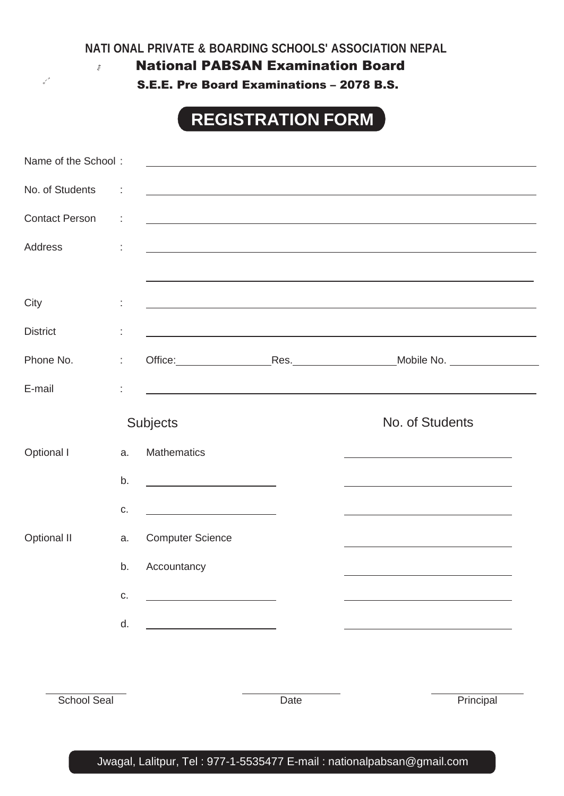**NATI ONAL PRIVATE & BOARDING SCHOOLS' ASSOCIATION NEPAL**

National PABSAN Examination Board

 $\ensuremath{\mathit{Mo}}_\ensuremath{\mathit{M}}$ 

S.E.E. Pre Board Examinations – 2078 B.S.

# **REGISTRATION FORM**

| Name of the School:                 |    |                                                                                                                                                                                                                               |      |                                                                                                                                                                                                                               |
|-------------------------------------|----|-------------------------------------------------------------------------------------------------------------------------------------------------------------------------------------------------------------------------------|------|-------------------------------------------------------------------------------------------------------------------------------------------------------------------------------------------------------------------------------|
| No. of Students<br>$\sim$ 100 $\pm$ |    | <u> 1989 - Johann Stoff, amerikansk politiker (d. 1989)</u>                                                                                                                                                                   |      |                                                                                                                                                                                                                               |
| <b>Contact Person</b><br>$\sim$ 100 |    |                                                                                                                                                                                                                               |      | <u> 1989 - Johann Stoff, amerikansk politiker (* 1908)</u>                                                                                                                                                                    |
| <b>Address</b>                      | ÷  |                                                                                                                                                                                                                               |      | <u> 1989 - Johann Stoff, amerikansk politiker (d. 1989)</u>                                                                                                                                                                   |
|                                     |    |                                                                                                                                                                                                                               |      |                                                                                                                                                                                                                               |
| City                                |    | the control of the control of the control of the control of the control of the control of the control of the control of the control of the control of the control of the control of the control of the control of the control |      |                                                                                                                                                                                                                               |
| <b>District</b>                     | İ, |                                                                                                                                                                                                                               |      | the control of the control of the control of the control of the control of the control of the control of the control of the control of the control of the control of the control of the control of the control of the control |
| Phone No.                           | t, |                                                                                                                                                                                                                               |      |                                                                                                                                                                                                                               |
| E-mail                              |    |                                                                                                                                                                                                                               |      | the control of the control of the control of the control of the control of the control of the control of the control of the control of the control of the control of the control of the control of the control of the control |
|                                     |    | <b>Subjects</b>                                                                                                                                                                                                               |      | No. of Students                                                                                                                                                                                                               |
| Optional I                          | a. | <b>Mathematics</b>                                                                                                                                                                                                            |      | <u> 1980 - Johann Barbara, martxa alemaniar arg</u>                                                                                                                                                                           |
|                                     | b. | <u> 1999 - Johann Barbara, martxa a</u>                                                                                                                                                                                       |      | <u> 1989 - Johann Barn, amerikansk politiker (d. 1989)</u>                                                                                                                                                                    |
|                                     | C. | <u> 1980 - Johann Barbara, martin a</u>                                                                                                                                                                                       |      | the control of the control of the control of the control of the control of the control of                                                                                                                                     |
| Optional II                         | a. | <b>Computer Science</b>                                                                                                                                                                                                       |      | the control of the control of the control of the control of the control of the control of                                                                                                                                     |
|                                     | b. | Accountancy                                                                                                                                                                                                                   |      |                                                                                                                                                                                                                               |
|                                     | C. |                                                                                                                                                                                                                               |      |                                                                                                                                                                                                                               |
|                                     | d. |                                                                                                                                                                                                                               |      |                                                                                                                                                                                                                               |
|                                     |    |                                                                                                                                                                                                                               |      |                                                                                                                                                                                                                               |
|                                     |    |                                                                                                                                                                                                                               |      |                                                                                                                                                                                                                               |
| <b>School Seal</b>                  |    |                                                                                                                                                                                                                               | Date | Principal                                                                                                                                                                                                                     |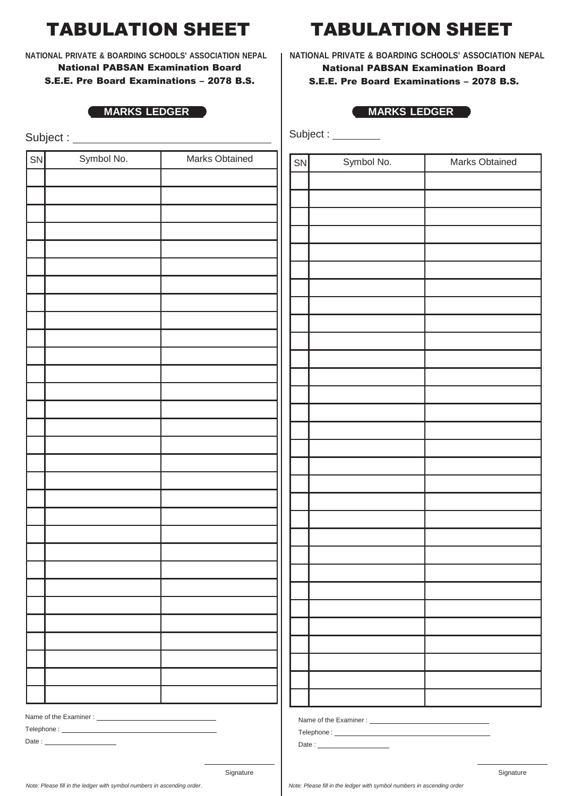## TABULATION SHEET TABULATION SHEET

**NATIONAL PRIVATE & BOARDING SCHOOLS' ASSOCIATION NEPAL** National PABSAN Examination Board S.E.E. Pre Board Examinations – 2078 B.S.

#### **MARKS LEDGER MARKS LEDGER**

Subject :

|    | oupou .    |                |
|----|------------|----------------|
| SN | Symbol No. | Marks Obtained |
|    |            |                |
|    |            |                |
|    |            |                |
|    |            |                |
|    |            |                |
|    |            |                |
|    |            |                |
|    |            |                |
|    |            |                |
|    |            |                |
|    |            |                |
|    |            |                |
|    |            |                |
|    |            |                |
|    |            |                |
|    |            |                |
|    |            |                |
|    |            |                |
|    |            |                |
|    |            |                |
|    |            |                |
|    |            |                |
|    |            |                |
|    |            |                |
|    |            |                |
|    |            |                |
|    |            |                |
|    |            |                |
|    |            |                |
|    |            |                |
|    |            |                |

**NATIONAL PRIVATE & BOARDING SCHOOLS' ASSOCIATION NEPAL** National PABSAN Examination Board S.E.E. Pre Board Examinations – 2078 B.S.

Subject :

| SN | Symbol No. | Marks Obtained |
|----|------------|----------------|
|    |            |                |
|    |            |                |
|    |            |                |
|    |            |                |
|    |            |                |
|    |            |                |
|    |            |                |
|    |            |                |
|    |            |                |
|    |            |                |
|    |            |                |
|    |            |                |
|    |            |                |
|    |            |                |
|    |            |                |
|    |            |                |
|    |            |                |
|    |            |                |
|    |            |                |
|    |            |                |
|    |            |                |
|    |            |                |
|    |            |                |
|    |            |                |
|    |            |                |
|    |            |                |
|    |            |                |
|    |            |                |
|    |            |                |
|    |            |                |

Name of the Examiner :

Telephone : \_\_\_ Date:

Name of the Examiner : \_\_\_\_\_\_\_\_\_\_

Telephone : Date :

Signature Signature Signature Signature Signature Signature Signature Signature Signature Signature Signature